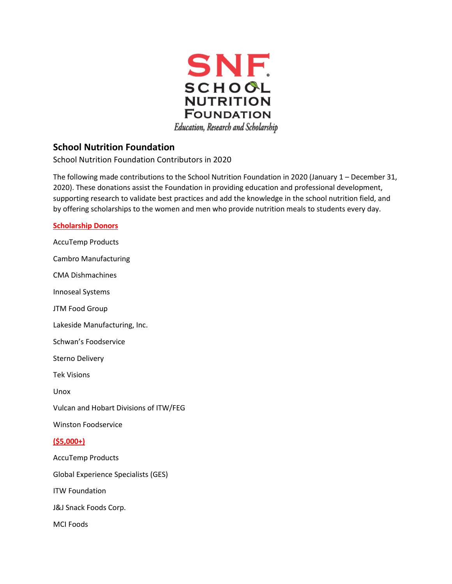

# **School Nutrition Foundation**

School Nutrition Foundation Contributors in 2020

The following made contributions to the School Nutrition Foundation in 2020 (January 1 – December 31, 2020). These donations assist the Foundation in providing education and professional development, supporting research to validate best practices and add the knowledge in the school nutrition field, and by offering scholarships to the women and men who provide nutrition meals to students every day.

**Scholarship Donors**  AccuTemp Products Cambro Manufacturing CMA Dishmachines Innoseal Systems JTM Food Group Lakeside Manufacturing, Inc. Schwan's Foodservice Sterno Delivery Tek Visions Unox Vulcan and Hobart Divisions of ITW/FEG Winston Foodservice **(\$5,000+)**  AccuTemp Products Global Experience Specialists (GES) ITW Foundation J&J Snack Foods Corp. MCI Foods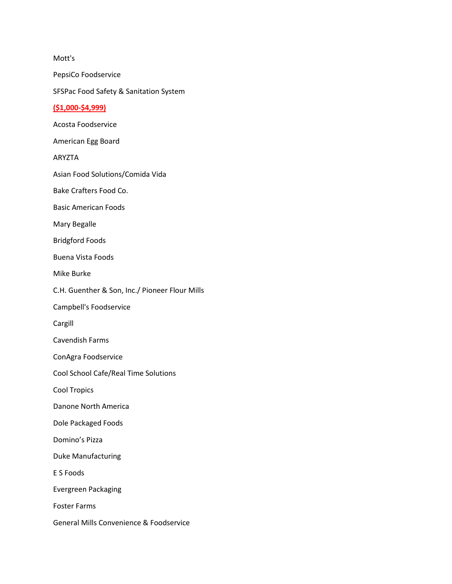Mott's PepsiCo Foodservice SFSPac Food Safety & Sanitation System **(\$1,000-\$4,999)**  Acosta Foodservice American Egg Board ARYZTA Asian Food Solutions/Comida Vida Bake Crafters Food Co. Basic American Foods Mary Begalle Bridgford Foods Buena Vista Foods Mike Burke C.H. Guenther & Son, Inc./ Pioneer Flour Mills Campbell's Foodservice Cargill Cavendish Farms ConAgra Foodservice Cool School Cafe/Real Time Solutions Cool Tropics Danone North America Dole Packaged Foods Domino's Pizza Duke Manufacturing E S Foods Evergreen Packaging Foster Farms General Mills Convenience & Foodservice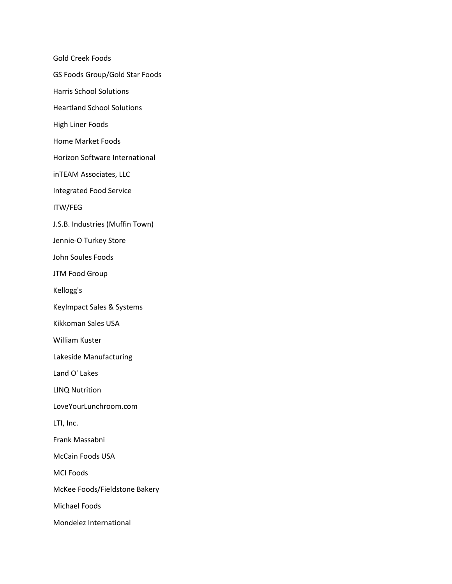Gold Creek Foods GS Foods Group/Gold Star Foods Harris School Solutions Heartland School Solutions High Liner Foods Home Market Foods Horizon Software International inTEAM Associates, LLC Integrated Food Service ITW/FEG J.S.B. Industries (Muffin Town) Jennie-O Turkey Store John Soules Foods JTM Food Group Kellogg's KeyImpact Sales & Systems Kikkoman Sales USA William Kuster Lakeside Manufacturing Land O' Lakes LINQ Nutrition LoveYourLunchroom.com LTI, Inc. Frank Massabni McCain Foods USA MCI Foods McKee Foods/Fieldstone Bakery Michael Foods

Mondelez International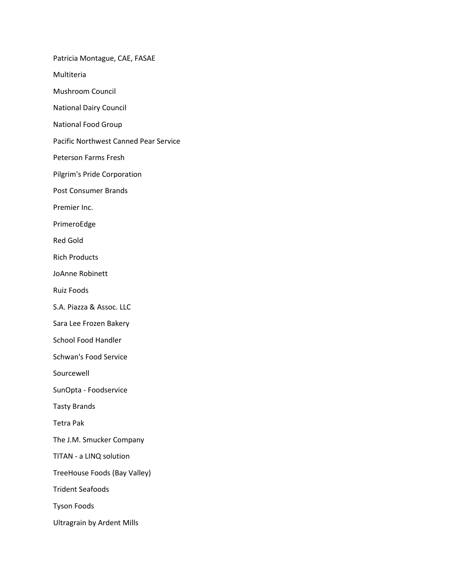Patricia Montague, CAE, FASAE Multiteria Mushroom Council National Dairy Council National Food Group Pacific Northwest Canned Pear Service Peterson Farms Fresh Pilgrim's Pride Corporation Post Consumer Brands Premier Inc. PrimeroEdge Red Gold Rich Products JoAnne Robinett Ruiz Foods S.A. Piazza & Assoc. LLC Sara Lee Frozen Bakery School Food Handler Schwan's Food Service Sourcewell SunOpta - Foodservice Tasty Brands Tetra Pak The J.M. Smucker Company TITAN - a LINQ solution TreeHouse Foods (Bay Valley) Trident Seafoods Tyson Foods Ultragrain by Ardent Mills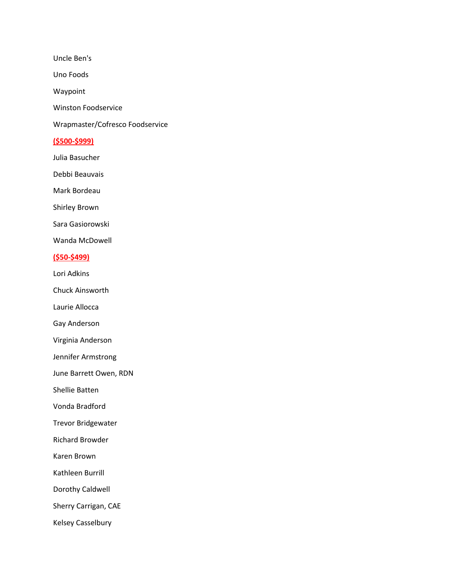Uncle Ben's

Uno Foods

Waypoint

Winston Foodservice

Wrapmaster/Cofresco Foodservice

## **(\$500-\$999)**

Julia Basucher

Debbi Beauvais

Mark Bordeau

Shirley Brown

Sara Gasiorowski

Wanda McDowell

# **(\$50-\$499)**

Lori Adkins

Chuck Ainsworth

Laurie Allocca

Gay Anderson

Virginia Anderson

Jennifer Armstrong

June Barrett Owen, RDN

Shellie Batten

Vonda Bradford

Trevor Bridgewater

Richard Browder

Karen Brown

Kathleen Burrill

Dorothy Caldwell

Sherry Carrigan, CAE

Kelsey Casselbury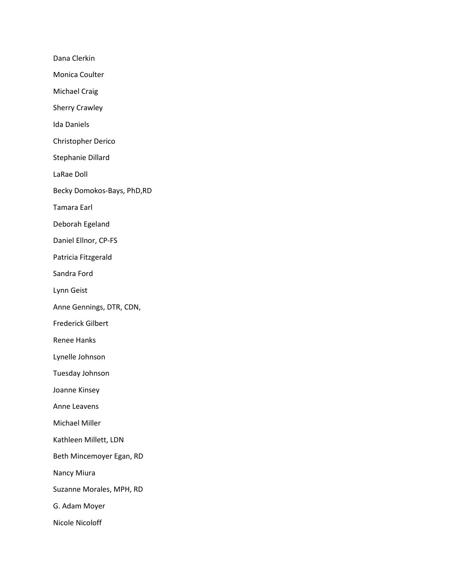Dana Clerkin Monica Coulter Michael Craig Sherry Crawley Ida Daniels Christopher Derico Stephanie Dillard LaRae Doll Becky Domokos-Bays, PhD,RD Tamara Earl Deborah Egeland Daniel Ellnor, CP-FS Patricia Fitzgerald Sandra Ford Lynn Geist Anne Gennings, DTR, CDN, Frederick Gilbert Renee Hanks Lynelle Johnson Tuesday Johnson Joanne Kinsey Anne Leavens Michael Miller Kathleen Millett, LDN Beth Mincemoyer Egan, RD Nancy Miura Suzanne Morales, MPH, RD G. Adam Moyer Nicole Nicoloff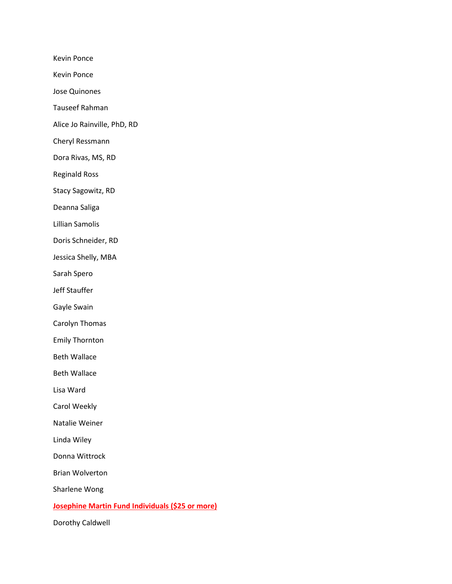Kevin Ponce

Kevin Ponce

Jose Quinones

Tauseef Rahman

Alice Jo Rainville, PhD, RD

Cheryl Ressmann

Dora Rivas, MS, RD

Reginald Ross

Stacy Sagowitz, RD

Deanna Saliga

Lillian Samolis

Doris Schneider, RD

Jessica Shelly, MBA

Sarah Spero

Jeff Stauffer

Gayle Swain

Carolyn Thomas

Emily Thornton

Beth Wallace

Beth Wallace

Lisa Ward

Carol Weekly

Natalie Weiner

Linda Wiley

Donna Wittrock

Brian Wolverton

Sharlene Wong

#### **Josephine Martin Fund Individuals (\$25 or more)**

Dorothy Caldwell